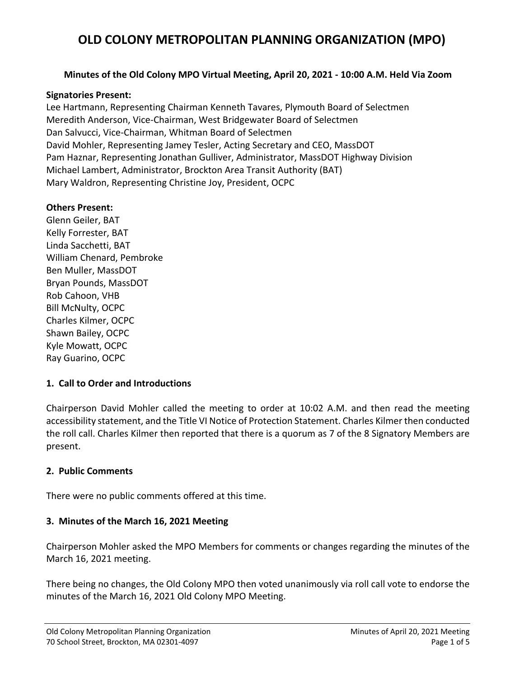#### **Minutes of the Old Colony MPO Virtual Meeting, April 20, 2021 ‐ 10:00 A.M. Held Via Zoom**

#### **Signatories Present:**

Lee Hartmann, Representing Chairman Kenneth Tavares, Plymouth Board of Selectmen Meredith Anderson, Vice‐Chairman, West Bridgewater Board of Selectmen Dan Salvucci, Vice‐Chairman, Whitman Board of Selectmen David Mohler, Representing Jamey Tesler, Acting Secretary and CEO, MassDOT Pam Haznar, Representing Jonathan Gulliver, Administrator, MassDOT Highway Division Michael Lambert, Administrator, Brockton Area Transit Authority (BAT) Mary Waldron, Representing Christine Joy, President, OCPC

#### **Others Present:**

Glenn Geiler, BAT Kelly Forrester, BAT Linda Sacchetti, BAT William Chenard, Pembroke Ben Muller, MassDOT Bryan Pounds, MassDOT Rob Cahoon, VHB Bill McNulty, OCPC Charles Kilmer, OCPC Shawn Bailey, OCPC Kyle Mowatt, OCPC Ray Guarino, OCPC

#### **1. Call to Order and Introductions**

Chairperson David Mohler called the meeting to order at 10:02 A.M. and then read the meeting accessibility statement, and the Title VI Notice of Protection Statement. Charles Kilmer then conducted the roll call. Charles Kilmer then reported that there is a quorum as 7 of the 8 Signatory Members are present.

#### **2. Public Comments**

There were no public comments offered at this time.

#### **3. Minutes of the March 16, 2021 Meeting**

Chairperson Mohler asked the MPO Members for comments or changes regarding the minutes of the March 16, 2021 meeting.

There being no changes, the Old Colony MPO then voted unanimously via roll call vote to endorse the minutes of the March 16, 2021 Old Colony MPO Meeting.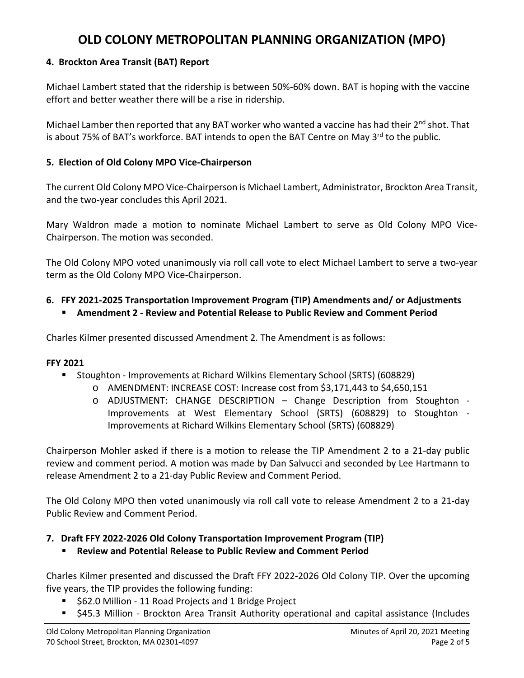#### **4. Brockton Area Transit (BAT) Report**

Michael Lambert stated that the ridership is between 50%‐60% down. BAT is hoping with the vaccine effort and better weather there will be a rise in ridership.

Michael Lamber then reported that any BAT worker who wanted a vaccine has had their 2<sup>nd</sup> shot. That is about 75% of BAT's workforce. BAT intends to open the BAT Centre on May  $3^{rd}$  to the public.

#### **5. Election of Old Colony MPO Vice‐Chairperson**

The current Old Colony MPO Vice‐Chairperson is Michael Lambert, Administrator, Brockton Area Transit, and the two‐year concludes this April 2021.

Mary Waldron made a motion to nominate Michael Lambert to serve as Old Colony MPO Vice-Chairperson. The motion was seconded.

The Old Colony MPO voted unanimously via roll call vote to elect Michael Lambert to serve a two‐year term as the Old Colony MPO Vice‐Chairperson.

### **6. FFY 2021‐2025 Transportation Improvement Program (TIP) Amendments and/ or Adjustments**

**Amendment 2 ‐ Review and Potential Release to Public Review and Comment Period** 

Charles Kilmer presented discussed Amendment 2. The Amendment is as follows:

#### **FFY 2021**

- Stoughton Improvements at Richard Wilkins Elementary School (SRTS) (608829)
	- o AMENDMENT: INCREASE COST: Increase cost from \$3,171,443 to \$4,650,151
	- o ADJUSTMENT: CHANGE DESCRIPTION Change Description from Stoughton ‐ Improvements at West Elementary School (SRTS) (608829) to Stoughton ‐ Improvements at Richard Wilkins Elementary School (SRTS) (608829)

Chairperson Mohler asked if there is a motion to release the TIP Amendment 2 to a 21‐day public review and comment period. A motion was made by Dan Salvucci and seconded by Lee Hartmann to release Amendment 2 to a 21‐day Public Review and Comment Period.

The Old Colony MPO then voted unanimously via roll call vote to release Amendment 2 to a 21‐day Public Review and Comment Period.

### **7. Draft FFY 2022‐2026 Old Colony Transportation Improvement Program (TIP)**

**Review and Potential Release to Public Review and Comment Period** 

Charles Kilmer presented and discussed the Draft FFY 2022‐2026 Old Colony TIP. Over the upcoming five years, the TIP provides the following funding:

- \$62.0 Million ‐ 11 Road Projects and 1 Bridge Project
- \$45.3 Million Brockton Area Transit Authority operational and capital assistance (Includes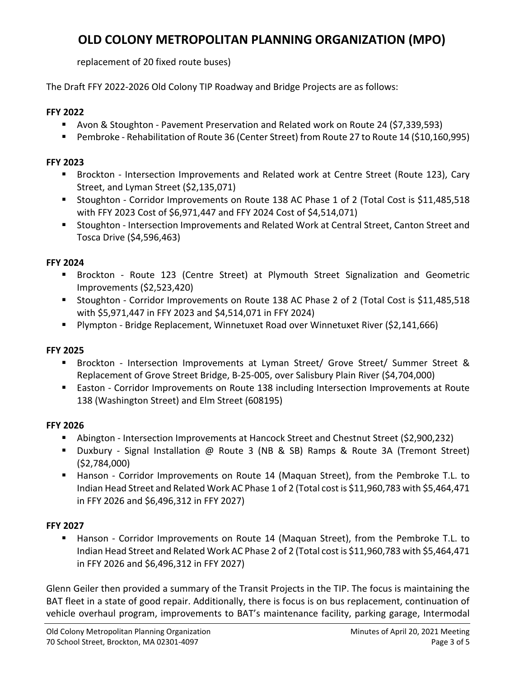replacement of 20 fixed route buses)

The Draft FFY 2022‐2026 Old Colony TIP Roadway and Bridge Projects are as follows:

#### **FFY 2022**

- Avon & Stoughton Pavement Preservation and Related work on Route 24 (\$7,339,593)
- Pembroke Rehabilitation of Route 36 (Center Street) from Route 27 to Route 14 (\$10,160,995)

#### **FFY 2023**

- Brockton Intersection Improvements and Related work at Centre Street (Route 123), Cary Street, and Lyman Street (\$2,135,071)
- Stoughton Corridor Improvements on Route 138 AC Phase 1 of 2 (Total Cost is \$11,485,518 with FFY 2023 Cost of \$6,971,447 and FFY 2024 Cost of \$4,514,071)
- Stoughton Intersection Improvements and Related Work at Central Street, Canton Street and Tosca Drive (\$4,596,463)

#### **FFY 2024**

- Brockton Route 123 (Centre Street) at Plymouth Street Signalization and Geometric Improvements (\$2,523,420)
- Stoughton Corridor Improvements on Route 138 AC Phase 2 of 2 (Total Cost is \$11,485,518 with \$5,971,447 in FFY 2023 and \$4,514,071 in FFY 2024)
- Plympton Bridge Replacement, Winnetuxet Road over Winnetuxet River (\$2,141,666)

#### **FFY 2025**

- Brockton Intersection Improvements at Lyman Street/ Grove Street/ Summer Street & Replacement of Grove Street Bridge, B‐25‐005, over Salisbury Plain River (\$4,704,000)
- Easton Corridor Improvements on Route 138 including Intersection Improvements at Route 138 (Washington Street) and Elm Street (608195)

#### **FFY 2026**

- Abington ‐ Intersection Improvements at Hancock Street and Chestnut Street (\$2,900,232)
- Duxbury Signal Installation @ Route 3 (NB & SB) Ramps & Route 3A (Tremont Street) (\$2,784,000)
- Hanson Corridor Improvements on Route 14 (Maquan Street), from the Pembroke T.L. to Indian Head Street and Related Work AC Phase 1 of 2 (Total cost is \$11,960,783 with \$5,464,471 in FFY 2026 and \$6,496,312 in FFY 2027)

#### **FFY 2027**

Hanson - Corridor Improvements on Route 14 (Maquan Street), from the Pembroke T.L. to Indian Head Street and Related Work AC Phase 2 of 2 (Total cost is \$11,960,783 with \$5,464,471 in FFY 2026 and \$6,496,312 in FFY 2027)

Glenn Geiler then provided a summary of the Transit Projects in the TIP. The focus is maintaining the BAT fleet in a state of good repair. Additionally, there is focus is on bus replacement, continuation of vehicle overhaul program, improvements to BAT's maintenance facility, parking garage, Intermodal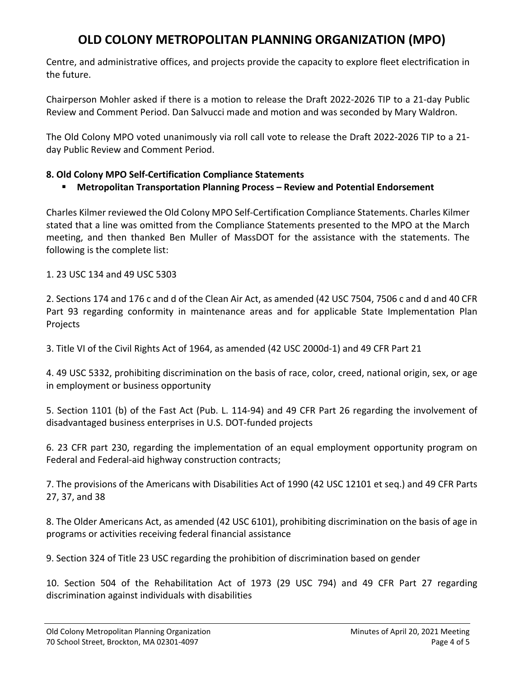Centre, and administrative offices, and projects provide the capacity to explore fleet electrification in the future.

Chairperson Mohler asked if there is a motion to release the Draft 2022‐2026 TIP to a 21‐day Public Review and Comment Period. Dan Salvucci made and motion and was seconded by Mary Waldron.

The Old Colony MPO voted unanimously via roll call vote to release the Draft 2022‐2026 TIP to a 21‐ day Public Review and Comment Period.

#### **8. Old Colony MPO Self‐Certification Compliance Statements**

### **Metropolitan Transportation Planning Process – Review and Potential Endorsement**

Charles Kilmer reviewed the Old Colony MPO Self‐Certification Compliance Statements. Charles Kilmer stated that a line was omitted from the Compliance Statements presented to the MPO at the March meeting, and then thanked Ben Muller of MassDOT for the assistance with the statements. The following is the complete list:

1. 23 USC 134 and 49 USC 5303

2. Sections 174 and 176 c and d of the Clean Air Act, as amended (42 USC 7504, 7506 c and d and 40 CFR Part 93 regarding conformity in maintenance areas and for applicable State Implementation Plan Projects

3. Title VI of the Civil Rights Act of 1964, as amended (42 USC 2000d‐1) and 49 CFR Part 21

4. 49 USC 5332, prohibiting discrimination on the basis of race, color, creed, national origin, sex, or age in employment or business opportunity

5. Section 1101 (b) of the Fast Act (Pub. L. 114‐94) and 49 CFR Part 26 regarding the involvement of disadvantaged business enterprises in U.S. DOT‐funded projects

6. 23 CFR part 230, regarding the implementation of an equal employment opportunity program on Federal and Federal-aid highway construction contracts;

7. The provisions of the Americans with Disabilities Act of 1990 (42 USC 12101 et seq.) and 49 CFR Parts 27, 37, and 38

8. The Older Americans Act, as amended (42 USC 6101), prohibiting discrimination on the basis of age in programs or activities receiving federal financial assistance

9. Section 324 of Title 23 USC regarding the prohibition of discrimination based on gender

10. Section 504 of the Rehabilitation Act of 1973 (29 USC 794) and 49 CFR Part 27 regarding discrimination against individuals with disabilities